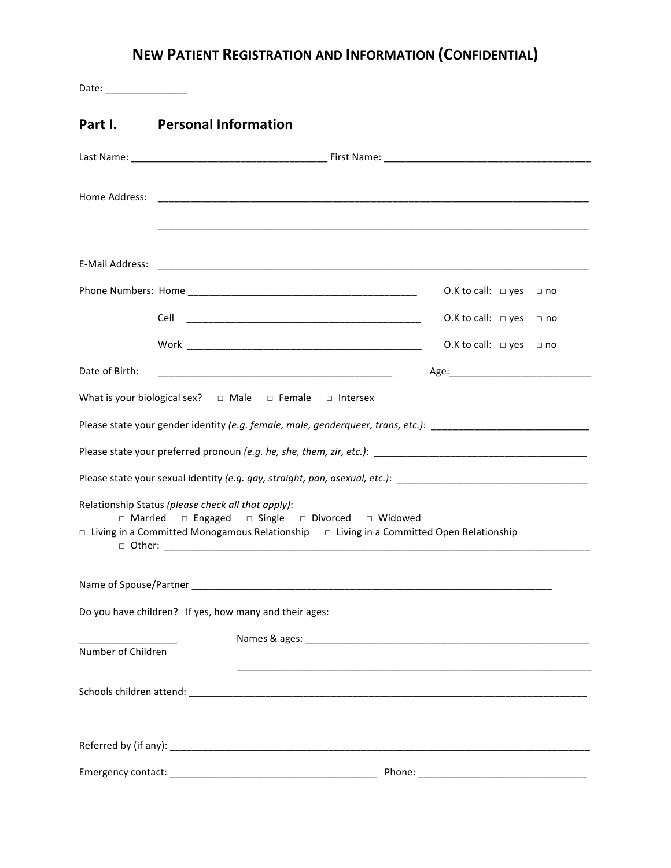## **NEW PATIENT REGISTRATION AND INFORMATION (CONFIDENTIAL)**

| Date: _________________ |                                                                                                                                                                                                                |                                   |      |
|-------------------------|----------------------------------------------------------------------------------------------------------------------------------------------------------------------------------------------------------------|-----------------------------------|------|
| Part I.                 | <b>Personal Information</b>                                                                                                                                                                                    |                                   |      |
|                         |                                                                                                                                                                                                                |                                   |      |
| Home Address:           |                                                                                                                                                                                                                |                                   |      |
| E-Mail Address:         | <u> 1999 - Jan James James James James James James James James James James James James James James James James J</u>                                                                                           |                                   |      |
|                         |                                                                                                                                                                                                                | O.K to call: $\Box$ yes           | ⊟ no |
|                         |                                                                                                                                                                                                                | O.K to call: $\Box$ yes $\Box$ no |      |
|                         |                                                                                                                                                                                                                | O.K to call: $\Box$ yes $\Box$ no |      |
| Date of Birth:          | <u> 1989 - Jan James James, martin amerikan basar (</u>                                                                                                                                                        |                                   |      |
|                         | What is your biological sex? $\Box$ Male $\Box$ Female $\Box$ Intersex                                                                                                                                         |                                   |      |
|                         | Please state your gender identity (e.g. female, male, genderqueer, trans, etc.): _____________________________                                                                                                 |                                   |      |
|                         |                                                                                                                                                                                                                |                                   |      |
|                         | Please state your sexual identity (e.g. gay, straight, pan, asexual, etc.): __________________________________                                                                                                 |                                   |      |
|                         | Relationship Status (please check all that apply):<br>□ Married □ Engaged □ Single □ Divorced □ Widowed<br>$\Box$ Living in a Committed Monogamous Relationship $\Box$ Living in a Committed Open Relationship |                                   |      |
|                         |                                                                                                                                                                                                                |                                   |      |
|                         | Do you have children? If yes, how many and their ages:                                                                                                                                                         |                                   |      |
| Number of Children      |                                                                                                                                                                                                                |                                   |      |
|                         |                                                                                                                                                                                                                |                                   |      |
|                         |                                                                                                                                                                                                                |                                   |      |
|                         |                                                                                                                                                                                                                |                                   |      |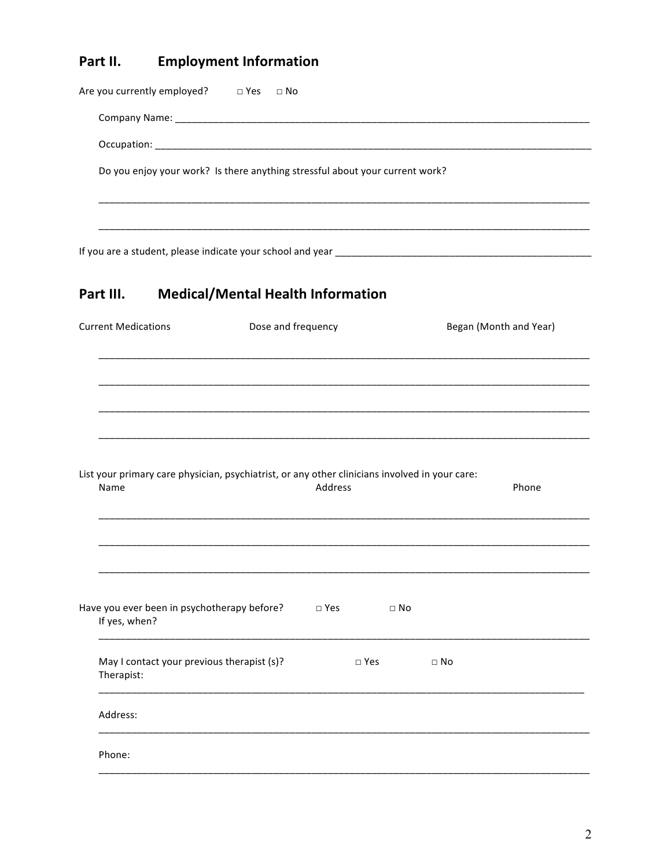## **Employment Information** Part II.

| Are you currently employed? □ Yes                                                                      | □ No                                     |               |               |           |                        |
|--------------------------------------------------------------------------------------------------------|------------------------------------------|---------------|---------------|-----------|------------------------|
|                                                                                                        |                                          |               |               |           |                        |
|                                                                                                        |                                          |               |               |           |                        |
| Do you enjoy your work? Is there anything stressful about your current work?                           |                                          |               |               |           |                        |
|                                                                                                        |                                          |               |               |           |                        |
|                                                                                                        |                                          |               |               |           |                        |
| Part III.                                                                                              | <b>Medical/Mental Health Information</b> |               |               |           |                        |
| <b>Current Medications</b>                                                                             | Dose and frequency                       |               |               |           | Began (Month and Year) |
|                                                                                                        |                                          |               |               |           |                        |
|                                                                                                        |                                          |               |               |           |                        |
|                                                                                                        |                                          |               |               |           |                        |
|                                                                                                        |                                          |               |               |           |                        |
| List your primary care physician, psychiatrist, or any other clinicians involved in your care:<br>Name |                                          | Address       |               |           | Phone                  |
|                                                                                                        |                                          |               |               |           |                        |
|                                                                                                        |                                          |               |               |           |                        |
| Have you ever been in psychotherapy before?<br>If yes, when?                                           |                                          | $\square$ Yes | $\square$ No  |           |                        |
| May I contact your previous therapist (s)?<br>Therapist:                                               |                                          |               | $\square$ Yes | $\Box$ No |                        |
| Address:                                                                                               |                                          |               |               |           |                        |
| Phone:                                                                                                 |                                          |               |               |           |                        |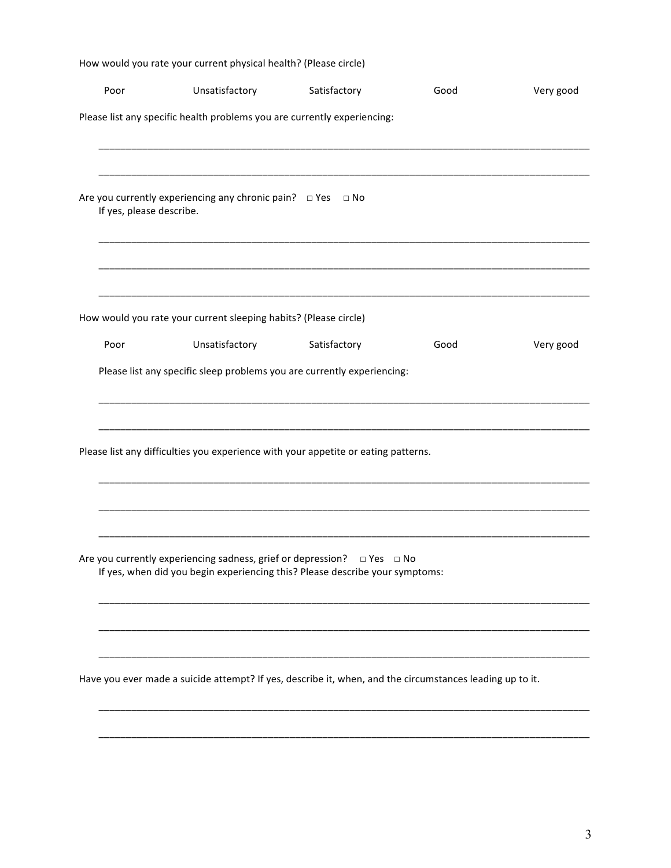| Poor                     | Unsatisfactory<br>Please list any specific health problems you are currently experiencing:                                                   | Satisfactory | Good | Very good |
|--------------------------|----------------------------------------------------------------------------------------------------------------------------------------------|--------------|------|-----------|
|                          |                                                                                                                                              |              |      |           |
|                          |                                                                                                                                              |              |      |           |
|                          |                                                                                                                                              |              |      |           |
| If yes, please describe. | Are you currently experiencing any chronic pain? $\Box$ Yes $\Box$ No                                                                        |              |      |           |
|                          |                                                                                                                                              |              |      |           |
|                          | How would you rate your current sleeping habits? (Please circle)                                                                             |              |      |           |
| Poor                     | Unsatisfactory                                                                                                                               | Satisfactory | Good | Very good |
|                          | Please list any specific sleep problems you are currently experiencing:                                                                      |              |      |           |
|                          | Please list any difficulties you experience with your appetite or eating patterns.                                                           |              |      |           |
|                          |                                                                                                                                              |              |      |           |
|                          |                                                                                                                                              |              |      |           |
|                          | Are you currently experiencing sadness, grief or depression?<br>If yes, when did you begin experiencing this? Please describe your symptoms: | □ Yes □ No   |      |           |
|                          |                                                                                                                                              |              |      |           |
|                          |                                                                                                                                              |              |      |           |
|                          | Have you ever made a suicide attempt? If yes, describe it, when, and the circumstances leading up to it.                                     |              |      |           |
|                          |                                                                                                                                              |              |      |           |
|                          |                                                                                                                                              |              |      |           |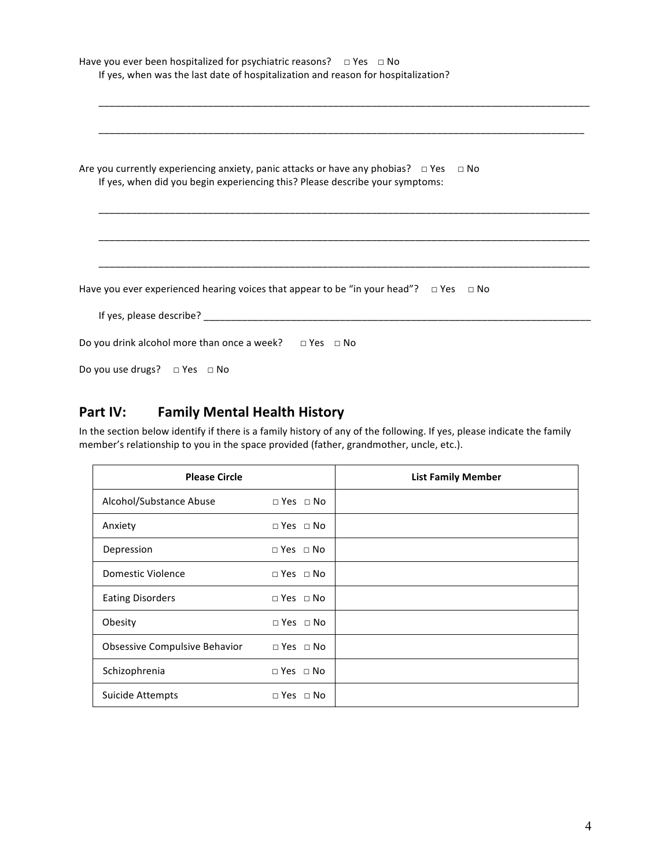| Have you ever been hospitalized for psychiatric reasons? $\Box$ Yes $\Box$ No<br>If yes, when was the last date of hospitalization and reason for hospitalization?              |  |  |  |
|---------------------------------------------------------------------------------------------------------------------------------------------------------------------------------|--|--|--|
|                                                                                                                                                                                 |  |  |  |
| Are you currently experiencing anxiety, panic attacks or have any phobias? $\Box$ Yes $\Box$ No<br>If yes, when did you begin experiencing this? Please describe your symptoms: |  |  |  |
|                                                                                                                                                                                 |  |  |  |
| Have you ever experienced hearing voices that appear to be "in your head"? $\Box$ Yes $\Box$ No                                                                                 |  |  |  |
|                                                                                                                                                                                 |  |  |  |
|                                                                                                                                                                                 |  |  |  |
| Do you drink alcohol more than once a week? $\Box$ Yes $\Box$ No<br>Do you use drugs? □ Yes □ No                                                                                |  |  |  |

## Part IV: Family Mental Health History

In the section below identify if there is a family history of any of the following. If yes, please indicate the family member's relationship to you in the space provided (father, grandmother, uncle, etc.).

| <b>Please Circle</b>          |                      | <b>List Family Member</b> |
|-------------------------------|----------------------|---------------------------|
| Alcohol/Substance Abuse       | $\Box$ Yes $\Box$ No |                           |
| Anxiety                       | $\Box$ Yes $\Box$ No |                           |
| Depression                    | $\Box$ Yes $\Box$ No |                           |
| Domestic Violence             | $\Box$ Yes $\Box$ No |                           |
| <b>Eating Disorders</b>       | $\Box$ Yes $\Box$ No |                           |
| Obesity                       | $\Box$ Yes $\Box$ No |                           |
| Obsessive Compulsive Behavior | $\Box$ Yes $\Box$ No |                           |
| Schizophrenia                 | $\Box$ Yes $\Box$ No |                           |
| Suicide Attempts              | $\Box$ Yes $\Box$ No |                           |